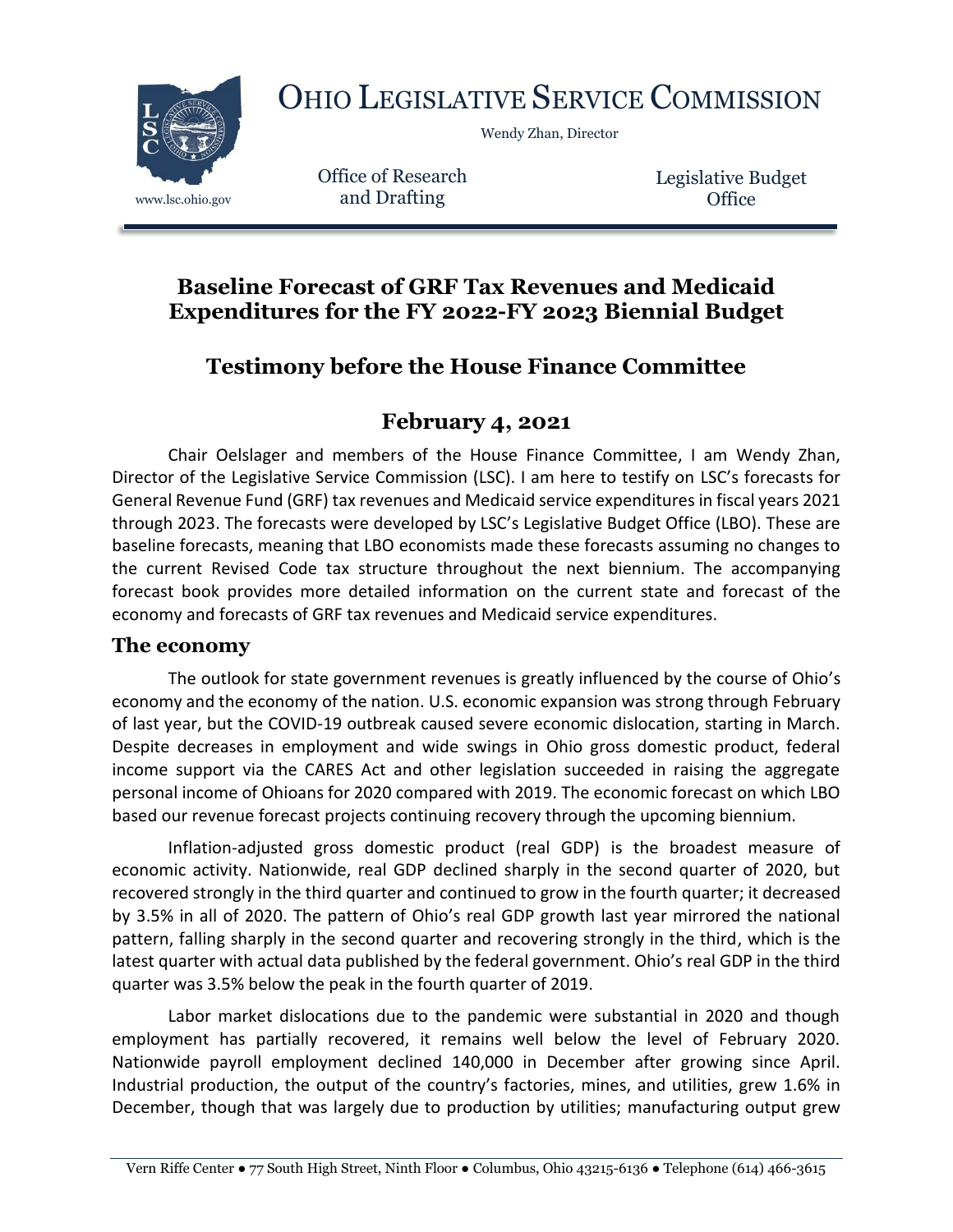

OHIO LEGISLATIVE SERVICE COMMISSION

Wendy Zhan, Director

Office of Research www.lsc.ohio.gov and Drafting

Legislative Budget **Office** 

## **Baseline Forecast of GRF Tax Revenues and Medicaid Expenditures for the FY 2022-FY 2023 Biennial Budget**

# **Testimony before the House Finance Committee**

## **February 4, 2021**

Chair Oelslager and members of the House Finance Committee, I am Wendy Zhan, Director of the Legislative Service Commission (LSC). I am here to testify on LSC's forecasts for General Revenue Fund (GRF) tax revenues and Medicaid service expenditures in fiscal years 2021 through 2023. The forecasts were developed by LSC's Legislative Budget Office (LBO). These are baseline forecasts, meaning that LBO economists made these forecasts assuming no changes to the current Revised Code tax structure throughout the next biennium. The accompanying forecast book provides more detailed information on the current state and forecast of the economy and forecasts of GRF tax revenues and Medicaid service expenditures.

#### **The economy**

The outlook for state government revenues is greatly influenced by the course of Ohio's economy and the economy of the nation. U.S. economic expansion was strong through February of last year, but the COVID-19 outbreak caused severe economic dislocation, starting in March. Despite decreases in employment and wide swings in Ohio gross domestic product, federal income support via the CARES Act and other legislation succeeded in raising the aggregate personal income of Ohioans for 2020 compared with 2019. The economic forecast on which LBO based our revenue forecast projects continuing recovery through the upcoming biennium.

Inflation-adjusted gross domestic product (real GDP) is the broadest measure of economic activity. Nationwide, real GDP declined sharply in the second quarter of 2020, but recovered strongly in the third quarter and continued to grow in the fourth quarter; it decreased by 3.5% in all of 2020. The pattern of Ohio's real GDP growth last year mirrored the national pattern, falling sharply in the second quarter and recovering strongly in the third, which is the latest quarter with actual data published by the federal government. Ohio's real GDP in the third quarter was 3.5% below the peak in the fourth quarter of 2019.

Labor market dislocations due to the pandemic were substantial in 2020 and though employment has partially recovered, it remains well below the level of February 2020. Nationwide payroll employment declined 140,000 in December after growing since April. Industrial production, the output of the country's factories, mines, and utilities, grew 1.6% in December, though that was largely due to production by utilities; manufacturing output grew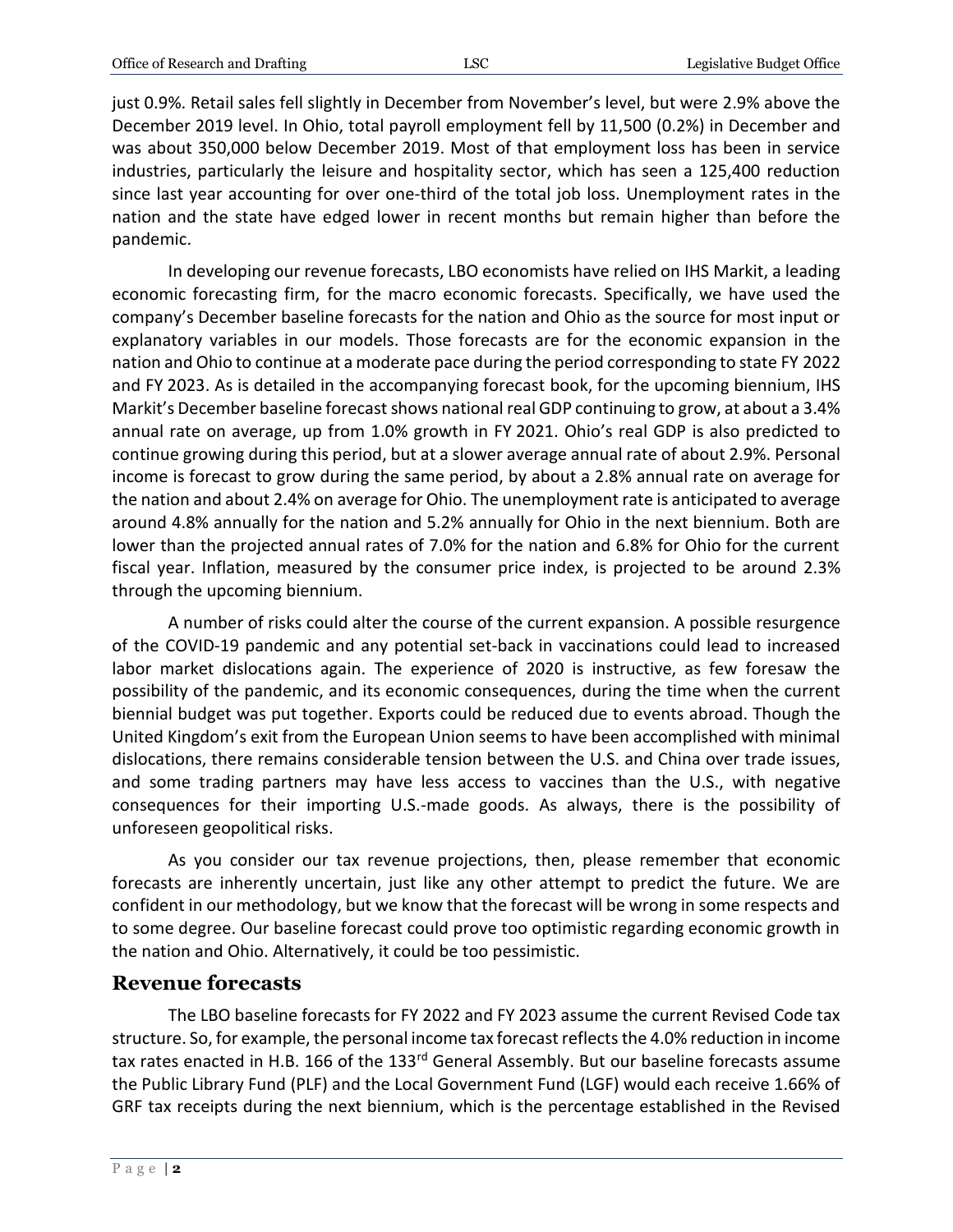just 0.9%. Retail sales fell slightly in December from November's level, but were 2.9% above the December 2019 level. In Ohio, total payroll employment fell by 11,500 (0.2%) in December and was about 350,000 below December 2019. Most of that employment loss has been in service industries, particularly the leisure and hospitality sector, which has seen a 125,400 reduction since last year accounting for over one-third of the total job loss. Unemployment rates in the nation and the state have edged lower in recent months but remain higher than before the pandemic.

In developing our revenue forecasts, LBO economists have relied on IHS Markit, a leading economic forecasting firm, for the macro economic forecasts. Specifically, we have used the company's December baseline forecasts for the nation and Ohio as the source for most input or explanatory variables in our models. Those forecasts are for the economic expansion in the nation and Ohio to continue at a moderate pace during the period corresponding to state FY 2022 and FY 2023. As is detailed in the accompanying forecast book, for the upcoming biennium, IHS Markit's December baseline forecast shows national real GDP continuing to grow, at about a 3.4% annual rate on average, up from 1.0% growth in FY 2021. Ohio's real GDP is also predicted to continue growing during this period, but at a slower average annual rate of about 2.9%. Personal income is forecast to grow during the same period, by about a 2.8% annual rate on average for the nation and about 2.4% on average for Ohio. The unemployment rate is anticipated to average around 4.8% annually for the nation and 5.2% annually for Ohio in the next biennium. Both are lower than the projected annual rates of 7.0% for the nation and 6.8% for Ohio for the current fiscal year. Inflation, measured by the consumer price index, is projected to be around 2.3% through the upcoming biennium.

A number of risks could alter the course of the current expansion. A possible resurgence of the COVID-19 pandemic and any potential set-back in vaccinations could lead to increased labor market dislocations again. The experience of 2020 is instructive, as few foresaw the possibility of the pandemic, and its economic consequences, during the time when the current biennial budget was put together. Exports could be reduced due to events abroad. Though the United Kingdom's exit from the European Union seems to have been accomplished with minimal dislocations, there remains considerable tension between the U.S. and China over trade issues, and some trading partners may have less access to vaccines than the U.S., with negative consequences for their importing U.S.-made goods. As always, there is the possibility of unforeseen geopolitical risks.

As you consider our tax revenue projections, then, please remember that economic forecasts are inherently uncertain, just like any other attempt to predict the future. We are confident in our methodology, but we know that the forecast will be wrong in some respects and to some degree. Our baseline forecast could prove too optimistic regarding economic growth in the nation and Ohio. Alternatively, it could be too pessimistic.

#### **Revenue forecasts**

The LBO baseline forecasts for FY 2022 and FY 2023 assume the current Revised Code tax structure. So, for example, the personal income tax forecast reflects the 4.0% reduction in income tax rates enacted in H.B. 166 of the 133<sup>rd</sup> General Assembly. But our baseline forecasts assume the Public Library Fund (PLF) and the Local Government Fund (LGF) would each receive 1.66% of GRF tax receipts during the next biennium, which is the percentage established in the Revised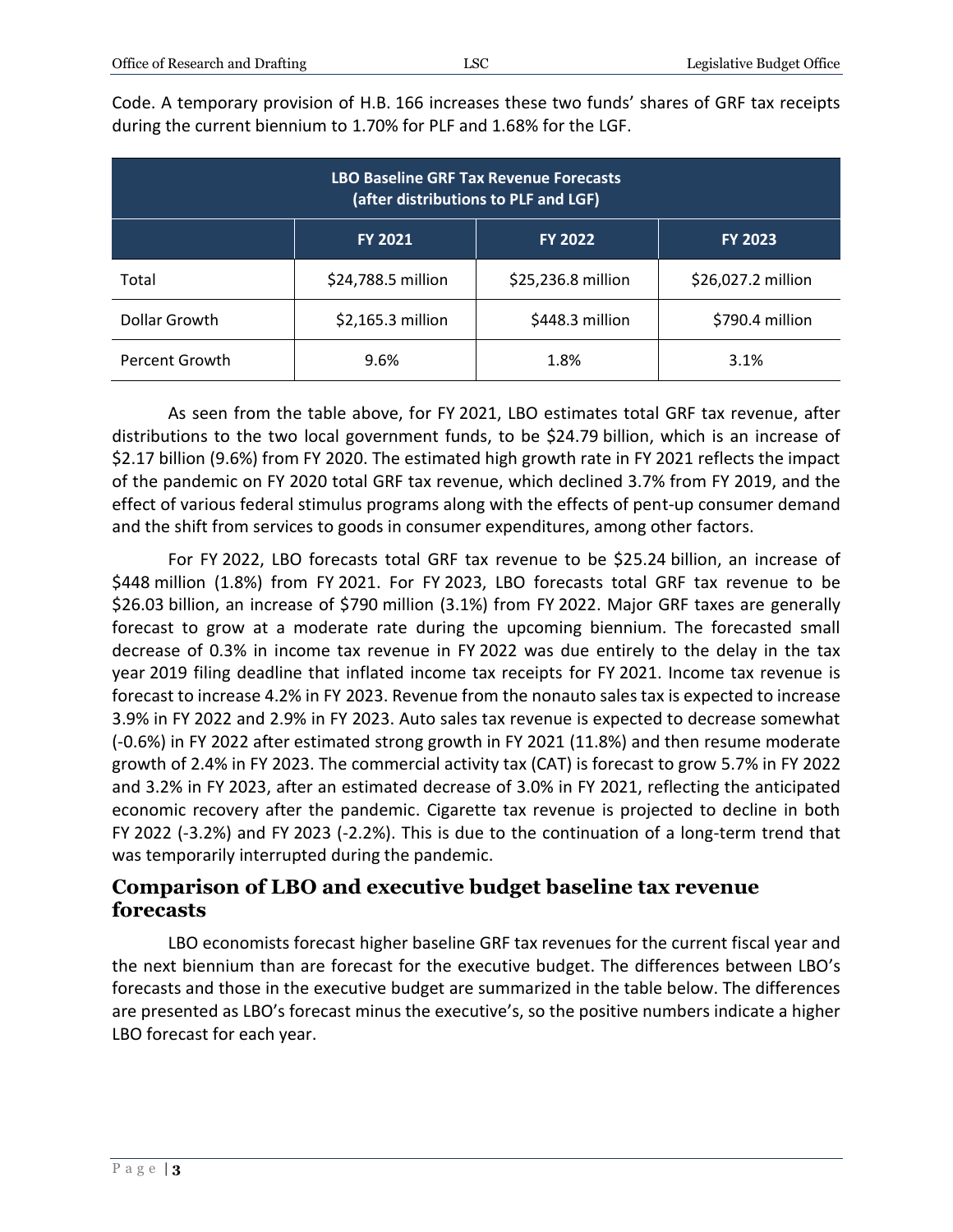Code. A temporary provision of H.B. 166 increases these two funds' shares of GRF tax receipts during the current biennium to 1.70% for PLF and 1.68% for the LGF.

| <b>LBO Baseline GRF Tax Revenue Forecasts</b><br>(after distributions to PLF and LGF) |                    |                    |                    |  |  |
|---------------------------------------------------------------------------------------|--------------------|--------------------|--------------------|--|--|
|                                                                                       | <b>FY 2021</b>     | <b>FY 2022</b>     | <b>FY 2023</b>     |  |  |
| Total                                                                                 | \$24,788.5 million | \$25,236.8 million | \$26,027.2 million |  |  |
| Dollar Growth                                                                         | \$2,165.3 million  | \$448.3 million    | \$790.4 million    |  |  |
| Percent Growth                                                                        | 9.6%               | 1.8%               | 3.1%               |  |  |

As seen from the table above, for FY 2021, LBO estimates total GRF tax revenue, after distributions to the two local government funds, to be \$24.79 billion, which is an increase of \$2.17 billion (9.6%) from FY 2020. The estimated high growth rate in FY 2021 reflects the impact of the pandemic on FY 2020 total GRF tax revenue, which declined 3.7% from FY 2019, and the effect of various federal stimulus programs along with the effects of pent-up consumer demand and the shift from services to goods in consumer expenditures, among other factors.

For FY 2022, LBO forecasts total GRF tax revenue to be \$25.24 billion, an increase of \$448 million (1.8%) from FY 2021. For FY 2023, LBO forecasts total GRF tax revenue to be \$26.03 billion, an increase of \$790 million (3.1%) from FY 2022. Major GRF taxes are generally forecast to grow at a moderate rate during the upcoming biennium. The forecasted small decrease of 0.3% in income tax revenue in FY 2022 was due entirely to the delay in the tax year 2019 filing deadline that inflated income tax receipts for FY 2021. Income tax revenue is forecast to increase 4.2% in FY 2023. Revenue from the nonauto sales tax is expected to increase 3.9% in FY 2022 and 2.9% in FY 2023. Auto sales tax revenue is expected to decrease somewhat (-0.6%) in FY 2022 after estimated strong growth in FY 2021 (11.8%) and then resume moderate growth of 2.4% in FY 2023. The commercial activity tax (CAT) is forecast to grow 5.7% in FY 2022 and 3.2% in FY 2023, after an estimated decrease of 3.0% in FY 2021, reflecting the anticipated economic recovery after the pandemic. Cigarette tax revenue is projected to decline in both FY 2022 (-3.2%) and FY 2023 (-2.2%). This is due to the continuation of a long-term trend that was temporarily interrupted during the pandemic.

#### **Comparison of LBO and executive budget baseline tax revenue forecasts**

LBO economists forecast higher baseline GRF tax revenues for the current fiscal year and the next biennium than are forecast for the executive budget. The differences between LBO's forecasts and those in the executive budget are summarized in the table below. The differences are presented as LBO's forecast minus the executive's, so the positive numbers indicate a higher LBO forecast for each year.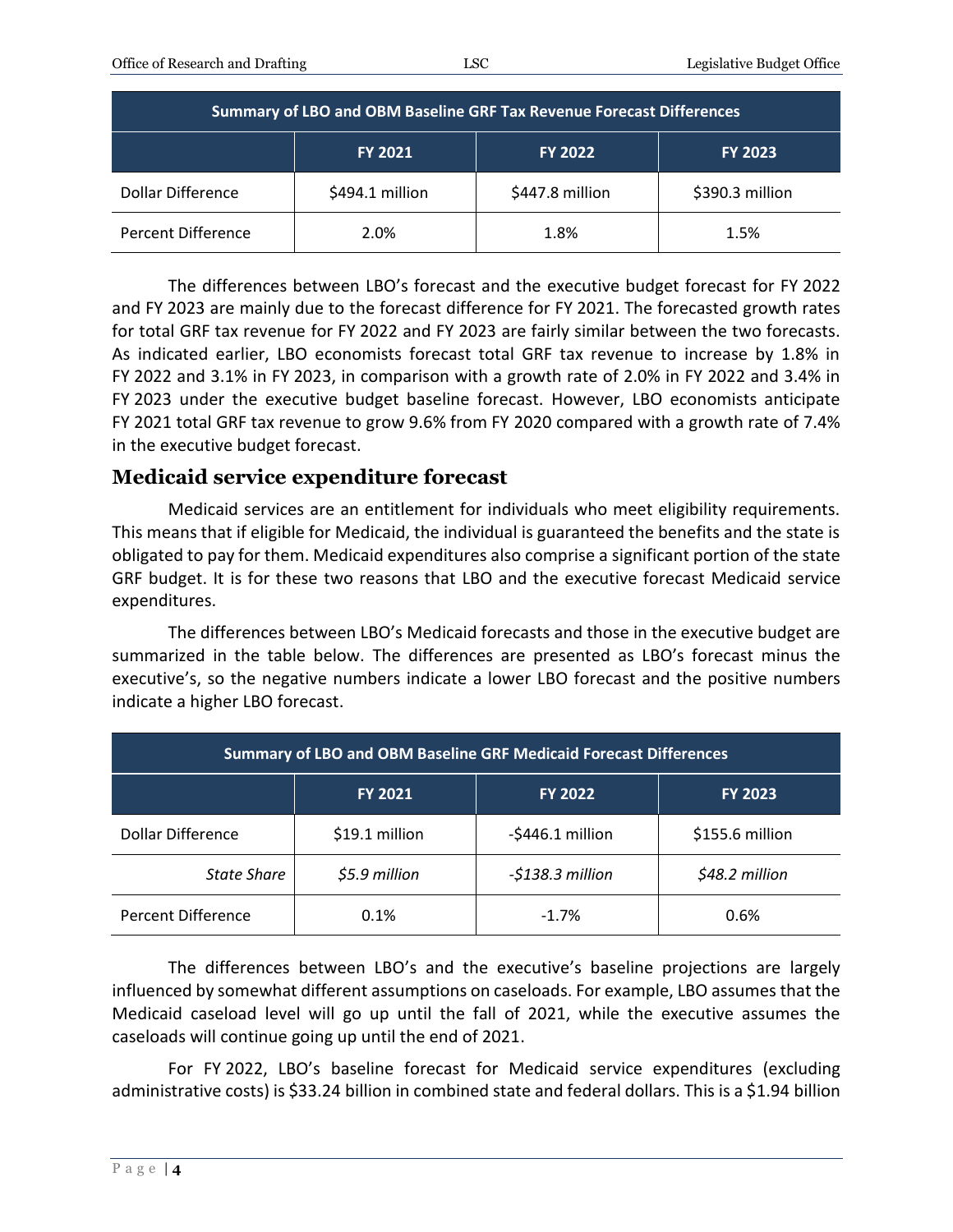| Summary of LBO and OBM Baseline GRF Tax Revenue Forecast Differences |                 |                 |                 |  |  |
|----------------------------------------------------------------------|-----------------|-----------------|-----------------|--|--|
|                                                                      | <b>FY 2021</b>  | <b>FY 2022</b>  | <b>FY 2023</b>  |  |  |
| Dollar Difference                                                    | \$494.1 million | \$447.8 million | \$390.3 million |  |  |
| Percent Difference                                                   | 2.0%            | 1.8%            | 1.5%            |  |  |

The differences between LBO's forecast and the executive budget forecast for FY 2022 and FY 2023 are mainly due to the forecast difference for FY 2021. The forecasted growth rates for total GRF tax revenue for FY 2022 and FY 2023 are fairly similar between the two forecasts. As indicated earlier, LBO economists forecast total GRF tax revenue to increase by 1.8% in FY 2022 and 3.1% in FY 2023, in comparison with a growth rate of 2.0% in FY 2022 and 3.4% in FY 2023 under the executive budget baseline forecast. However, LBO economists anticipate FY 2021 total GRF tax revenue to grow 9.6% from FY 2020 compared with a growth rate of 7.4% in the executive budget forecast.

### **Medicaid service expenditure forecast**

Medicaid services are an entitlement for individuals who meet eligibility requirements. This means that if eligible for Medicaid, the individual is guaranteed the benefits and the state is obligated to pay for them. Medicaid expenditures also comprise a significant portion of the state GRF budget. It is for these two reasons that LBO and the executive forecast Medicaid service expenditures.

The differences between LBO's Medicaid forecasts and those in the executive budget are summarized in the table below. The differences are presented as LBO's forecast minus the executive's, so the negative numbers indicate a lower LBO forecast and the positive numbers indicate a higher LBO forecast.

| <b>Summary of LBO and OBM Baseline GRF Medicaid Forecast Differences</b> |                |                     |                 |  |  |
|--------------------------------------------------------------------------|----------------|---------------------|-----------------|--|--|
|                                                                          | <b>FY 2021</b> | <b>FY 2022</b>      | <b>FY 2023</b>  |  |  |
| Dollar Difference                                                        | \$19.1 million | $-$ \$446.1 million | \$155.6 million |  |  |
| State Share                                                              | \$5.9 million  | $-$138.3$ million   | \$48.2 million  |  |  |
| Percent Difference                                                       | 0.1%           | $-1.7%$             | 0.6%            |  |  |

The differences between LBO's and the executive's baseline projections are largely influenced by somewhat different assumptions on caseloads. For example, LBO assumes that the Medicaid caseload level will go up until the fall of 2021, while the executive assumes the caseloads will continue going up until the end of 2021.

For FY 2022, LBO's baseline forecast for Medicaid service expenditures (excluding administrative costs) is \$33.24 billion in combined state and federal dollars. This is a \$1.94 billion